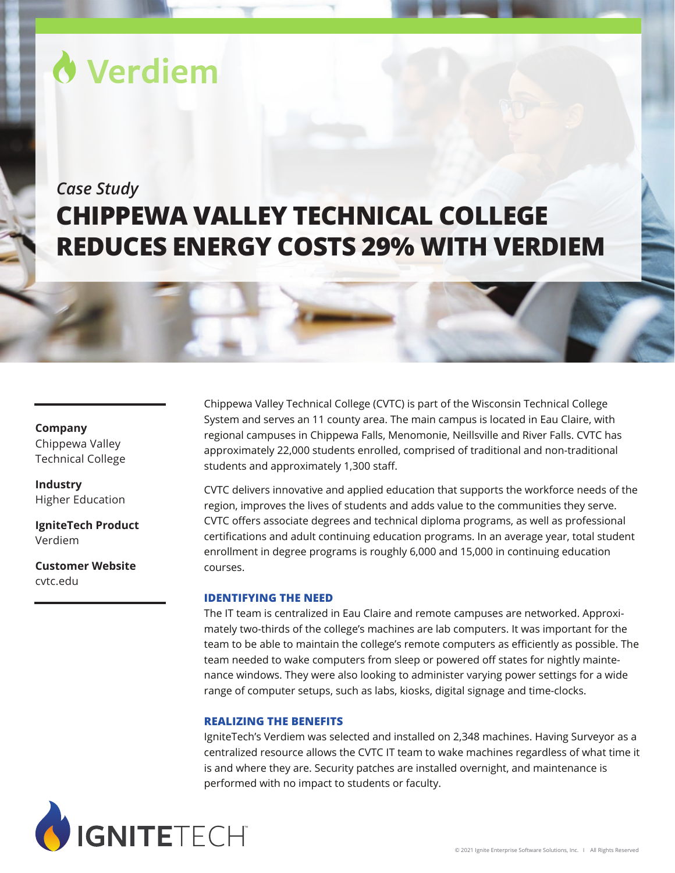# Verdiem

## *Case Study* **CHIPPEWA VALLEY TECHNICAL COLLEGE REDUCES ENERGY COSTS 29% WITH VERDIEM**

#### **Company**

Chippewa Valley Technical College

**Industry** Higher Education

**IgniteTech Product** Verdiem

**Customer Website** [cvtc.edu](https://www.cvtc.edu/)

Chippewa Valley Technical College (CVTC) is part of the Wisconsin Technical College System and serves an 11 county area. The main campus is located in Eau Claire, with regional campuses in Chippewa Falls, Menomonie, Neillsville and River Falls. CVTC has approximately 22,000 students enrolled, comprised of traditional and non-traditional students and approximately 1,300 staff.

CVTC delivers innovative and applied education that supports the workforce needs of the region, improves the lives of students and adds value to the communities they serve. CVTC offers associate degrees and technical diploma programs, as well as professional certifications and adult continuing education programs. In an average year, total student enrollment in degree programs is roughly 6,000 and 15,000 in continuing education courses.

#### **IDENTIFYING THE NEED**

The IT team is centralized in Eau Claire and remote campuses are networked. Approximately two-thirds of the college's machines are lab computers. It was important for the team to be able to maintain the college's remote computers as efficiently as possible. The team needed to wake computers from sleep or powered off states for nightly maintenance windows. They were also looking to administer varying power settings for a wide range of computer setups, such as labs, kiosks, digital signage and time-clocks.

#### **REALIZING THE BENEFITS**

IgniteTech's Verdiem was selected and installed on 2,348 machines. Having Surveyor as a centralized resource allows the CVTC IT team to wake machines regardless of what time it is and where they are. Security patches are installed overnight, and maintenance is performed with no impact to students or faculty.